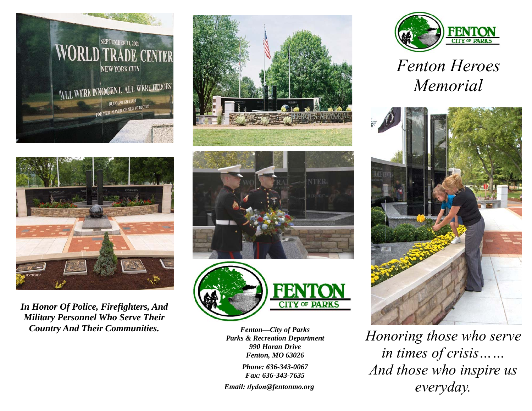



*In Honor Of Police, Firefighters, And Military Personnel Who Serve Their Country And Their Communities.* 







*Fenton—City of Parks Parks & Recreation Department 990 Horan Drive Fenton, MO <sup>63026</sup>*

*Phone: 636-343-0067Fax: 636-343-7635* 

*Email: tlydon@fentonmo.org* 



*Fenton Heroes Memorial* 



*Honoring those who serve in times of crisis…… And those who inspire us everyday.*